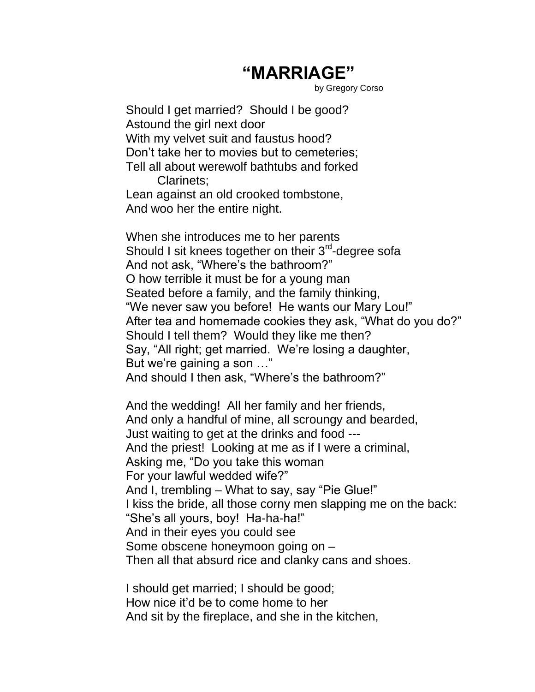## **"MARRIAGE"**

by Gregory Corso

Should I get married? Should I be good? Astound the girl next door With my velvet suit and faustus hood? Don't take her to movies but to cemeteries; Tell all about werewolf bathtubs and forked Clarinets; Lean against an old crooked tombstone,

And woo her the entire night.

When she introduces me to her parents Should I sit knees together on their 3<sup>rd</sup>-degree sofa And not ask, "Where's the bathroom?" O how terrible it must be for a young man Seated before a family, and the family thinking, "We never saw you before! He wants our Mary Lou!" After tea and homemade cookies they ask, "What do you do?" Should I tell them? Would they like me then? Say, "All right; get married. We're losing a daughter, But we're gaining a son …" And should I then ask, "Where's the bathroom?"

And the wedding! All her family and her friends, And only a handful of mine, all scroungy and bearded, Just waiting to get at the drinks and food --- And the priest! Looking at me as if I were a criminal, Asking me, "Do you take this woman For your lawful wedded wife?" And I, trembling – What to say, say "Pie Glue!" I kiss the bride, all those corny men slapping me on the back: "She's all yours, boy! Ha-ha-ha!" And in their eyes you could see Some obscene honeymoon going on – Then all that absurd rice and clanky cans and shoes.

I should get married; I should be good; How nice it'd be to come home to her And sit by the fireplace, and she in the kitchen,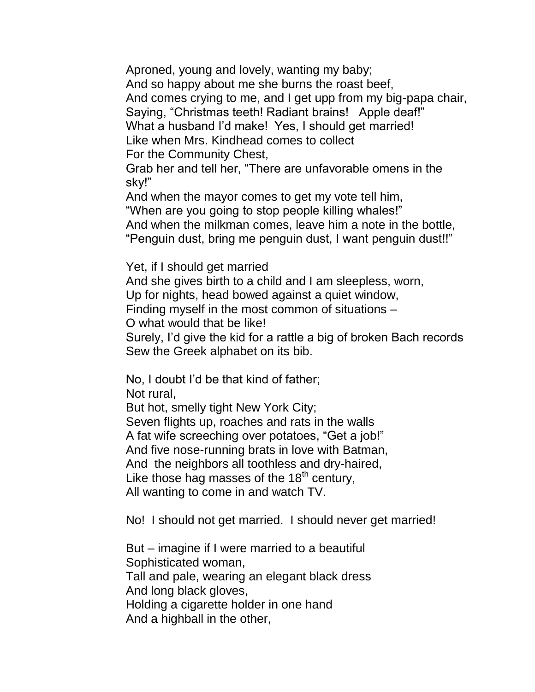Aproned, young and lovely, wanting my baby; And so happy about me she burns the roast beef, And comes crying to me, and I get upp from my big-papa chair, Saying, "Christmas teeth! Radiant brains! Apple deaf!" What a husband I'd make! Yes, I should get married! Like when Mrs. Kindhead comes to collect For the Community Chest,

Grab her and tell her, "There are unfavorable omens in the sky!"

And when the mayor comes to get my vote tell him, "When are you going to stop people killing whales!" And when the milkman comes, leave him a note in the bottle, "Penguin dust, bring me penguin dust, I want penguin dust!!"

Yet, if I should get married

And she gives birth to a child and I am sleepless, worn, Up for nights, head bowed against a quiet window,

Finding myself in the most common of situations –

O what would that be like!

Surely, I'd give the kid for a rattle a big of broken Bach records Sew the Greek alphabet on its bib.

No, I doubt I'd be that kind of father;

Not rural,

But hot, smelly tight New York City; Seven flights up, roaches and rats in the walls A fat wife screeching over potatoes, "Get a job!" And five nose-running brats in love with Batman, And the neighbors all toothless and dry-haired, Like those hag masses of the  $18<sup>th</sup>$  century, All wanting to come in and watch TV.

No! I should not get married. I should never get married!

But – imagine if I were married to a beautiful Sophisticated woman, Tall and pale, wearing an elegant black dress And long black gloves, Holding a cigarette holder in one hand And a highball in the other,